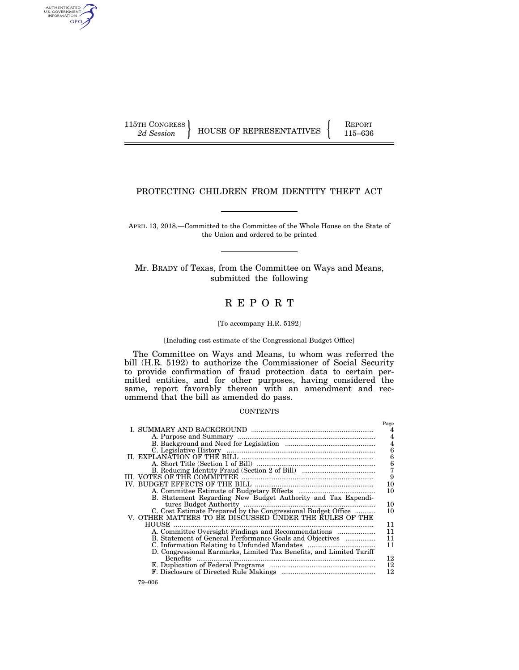AUTHENTICATED<br>U.S. GOVERNMENT<br>INFORMATION GPO

115TH CONGRESS HOUSE OF REPRESENTATIVES FEPORT 115–636

# PROTECTING CHILDREN FROM IDENTITY THEFT ACT

APRIL 13, 2018.—Committed to the Committee of the Whole House on the State of the Union and ordered to be printed

Mr. BRADY of Texas, from the Committee on Ways and Means, submitted the following

# R E P O R T

#### [To accompany H.R. 5192]

### [Including cost estimate of the Congressional Budget Office]

The Committee on Ways and Means, to whom was referred the bill (H.R. 5192) to authorize the Commissioner of Social Security to provide confirmation of fraud protection data to certain permitted entities, and for other purposes, having considered the same, report favorably thereon with an amendment and recommend that the bill as amended do pass.

#### **CONTENTS**

|                                                                                                                         | Page           |
|-------------------------------------------------------------------------------------------------------------------------|----------------|
|                                                                                                                         | 4              |
|                                                                                                                         |                |
|                                                                                                                         | $\overline{4}$ |
|                                                                                                                         | 6              |
|                                                                                                                         | 6              |
|                                                                                                                         | $\frac{6}{7}$  |
|                                                                                                                         |                |
|                                                                                                                         | 9              |
|                                                                                                                         | 10             |
|                                                                                                                         | 10             |
| B. Statement Regarding New Budget Authority and Tax Expendi-                                                            |                |
| tures Budget Authority                                                                                                  | 10             |
| C. Cost Estimate Prepared by the Congressional Budget Office<br>V. OTHER MATTERS TO BE DISCUSSED UNDER THE RULES OF THE | 10             |
|                                                                                                                         |                |
| HOUSE                                                                                                                   | 11             |
| A. Committee Oversight Findings and Recommendations                                                                     | 11             |
| B. Statement of General Performance Goals and Objectives                                                                | 11             |
|                                                                                                                         | 11             |
| D. Congressional Earmarks, Limited Tax Benefits, and Limited Tariff                                                     |                |
| <b>Benefits</b>                                                                                                         | 12             |
|                                                                                                                         | 12             |
|                                                                                                                         | 12             |
|                                                                                                                         |                |

79–006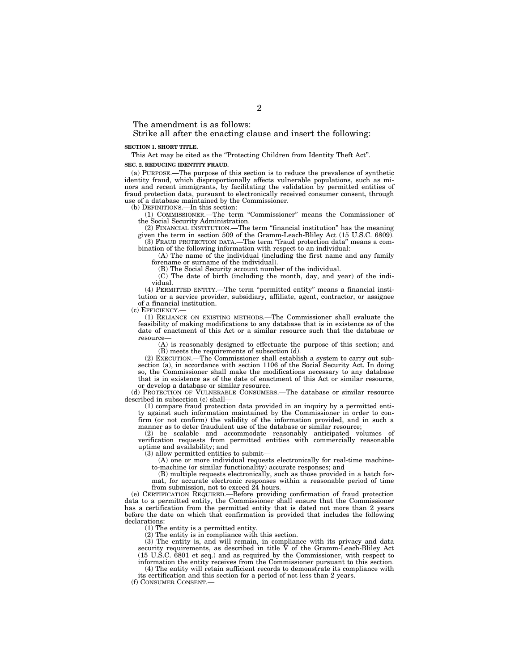The amendment is as follows:

Strike all after the enacting clause and insert the following:

#### **SECTION 1. SHORT TITLE.**

This Act may be cited as the ''Protecting Children from Identity Theft Act''.

**SEC. 2. REDUCING IDENTITY FRAUD.** 

(a) PURPOSE.—The purpose of this section is to reduce the prevalence of synthetic identity fraud, which disproportionally affects vulnerable populations, such as minors and recent immigrants, by facilitating the validation by permitted entities of fraud protection data, pursuant to electronically received consumer consent, through use of a database maintained by the Commissioner.

(b) DEFINITIONS.—In this section:

(1) COMMISSIONER.—The term ''Commissioner'' means the Commissioner of the Social Security Administration.

(2) FINANCIAL INSTITUTION.—The term ''financial institution'' has the meaning given the term in section 509 of the Gramm-Leach-Bliley Act (15 U.S.C. 6809). (3) FRAUD PROTECTION DATA.—The term ''fraud protection data'' means a combination of the following information with respect to an individual:

(A) The name of the individual (including the first name and any family forename or surname of the individual).

(B) The Social Security account number of the individual.

(C) The date of birth (including the month, day, and year) of the individual.

(4) PERMITTED ENTITY.—The term ''permitted entity'' means a financial institution or a service provider, subsidiary, affiliate, agent, contractor, or assignee of a financial institution.

(c) EFFICIENCY.—

(1) RELIANCE ON EXISTING METHODS.—The Commissioner shall evaluate the feasibility of making modifications to any database that is in existence as of the date of enactment of this Act or a similar resource such that the database or resource—

(A) is reasonably designed to effectuate the purpose of this section; and (B) meets the requirements of subsection (d).

(2) EXECUTION.—The Commissioner shall establish a system to carry out subsection (a), in accordance with section 1106 of the Social Security Act. In doing so, the Commissioner shall make the modifications necessary to any database that is in existence as of the date of enactment of this Act or similar resource, or develop a database or similar resource.

(d) PROTECTION OF VULNERABLE CONSUMERS.—The database or similar resource described in subsection (c) shall—

(1) compare fraud protection data provided in an inquiry by a permitted entity against such information maintained by the Commissioner in order to confirm (or not confirm) the validity of the information provided, and in such a manner as to deter fraudulent use of the database or similar resource;

(2) be scalable and accommodate reasonably anticipated volumes of verification requests from permitted entities with commercially reasonable uptime and availability; and

(3) allow permitted entities to submit—

(A) one or more individual requests electronically for real-time machineto-machine (or similar functionality) accurate responses; and

(B) multiple requests electronically, such as those provided in a batch format, for accurate electronic responses within a reasonable period of time from submission, not to exceed 24 hours.

(e) CERTIFICATION REQUIRED.—Before providing confirmation of fraud protection data to a permitted entity, the Commissioner shall ensure that the Commissioner has a certification from the permitted entity that is dated not more than 2 years before the date on which that confirmation is provided that includes the following declarations:

(1) The entity is a permitted entity.

(2) The entity is in compliance with this section.

(3) The entity is, and will remain, in compliance with its privacy and data security requirements, as described in title V of the Gramm-Leach-Bliley Act (15 U.S.C. 6801 et seq.) and as required by the Commissioner, with respect to information the entity receives from the Commissioner pursuant to this section.

(4) The entity will retain sufficient records to demonstrate its compliance with its certification and this section for a period of not less than 2 years.

(f) CONSUMER CONSENT.—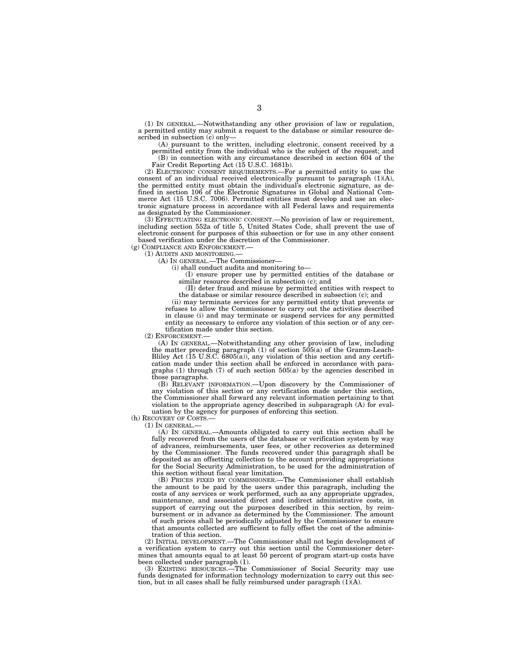(1) IN GENERAL.—Notwithstanding any other provision of law or regulation, a permitted entity may submit a request to the database or similar resource described in subsection (c) only—

(A) pursuant to the written, including electronic, consent received by a permitted entity from the individual who is the subject of the request; and (B) in connection with any circumstance described in section 604 of the Fair Credit Reporting Act (15 U.S.C. 1681b).

(2) ELECTRONIC CONSENT REQUIREMENTS.—For a permitted entity to use the consent of an individual received electronically pursuant to paragraph  $(1)(A)$ , the permitted entity must obtain the individual's electronic signature, as defined in section 106 of the Electronic Signatures in Global and National Commerce Act (15 U.S.C. 7006). Permitted entities must develop and use an electronic signature process in accordance with all Federal laws and requirements as designated by the Commissioner.

(3) EFFECTUATING ELECTRONIC CONSENT.—No provision of law or requirement, including section 552a of title 5, United States Code, shall prevent the use of electronic consent for purposes of this subsection or for use in any other consent based verification under the discretion of the Commissioner.

(g) COMPLIANCE AND ENFORCEMENT.—

(1) AUDITS AND MONITORING.—

(A) IN GENERAL.—The Commissioner—

(i) shall conduct audits and monitoring to—

(I) ensure proper use by permitted entities of the database or similar resource described in subsection (c); and

(II) deter fraud and misuse by permitted entities with respect to the database or similar resource described in subsection (c); and

(ii) may terminate services for any permitted entity that prevents or refuses to allow the Commissioner to carry out the activities described in clause (i) and may terminate or suspend services for any permitted entity as necessary to enforce any violation of this section or of any certification made under this section.

(2) ENFORCEMENT.—

(A) IN GENERAL.—Notwithstanding any other provision of law, including the matter preceding paragraph (1) of section 505(a) of the Gramm-Leach-Bliley Act (15 U.S.C. 6805(a)), any violation of this section and any certification made under this section shall be enforced in accordance with paragraphs (1) through (7) of such section 505(a) by the agencies described in those paragraphs.

(B) RELEVANT INFORMATION.—Upon discovery by the Commissioner of any violation of this section or any certification made under this section, the Commissioner shall forward any relevant information pertaining to that violation to the appropriate agency described in subparagraph (A) for evaluation by the agency for purposes of enforcing this section.

(h) RECOVERY OF COSTS.—

(1) IN GENERAL.—

(A) IN GENERAL.—Amounts obligated to carry out this section shall be fully recovered from the users of the database or verification system by way of advances, reimbursements, user fees, or other recoveries as determined by the Commissioner. The funds recovered under this paragraph shall be deposited as an offsetting collection to the account providing appropriations for the Social Security Administration, to be used for the administration of this section without fiscal year limitation.

(B) PRICES FIXED BY COMMISSIONER.—The Commissioner shall establish the amount to be paid by the users under this paragraph, including the costs of any services or work performed, such as any appropriate upgrades, maintenance, and associated direct and indirect administrative costs, in support of carrying out the purposes described in this section, by reimbursement or in advance as determined by the Commissioner. The amount of such prices shall be periodically adjusted by the Commissioner to ensure that amounts collected are sufficient to fully offset the cost of the administration of this section.

(2) INITIAL DEVELOPMENT.—The Commissioner shall not begin development of a verification system to carry out this section until the Commissioner determines that amounts equal to at least 50 percent of program start-up costs have been collected under paragraph (1).

(3) EXISTING RESOURCES.—The Commissioner of Social Security may use funds designated for information technology modernization to carry out this section, but in all cases shall be fully reimbursed under paragraph (1)(A).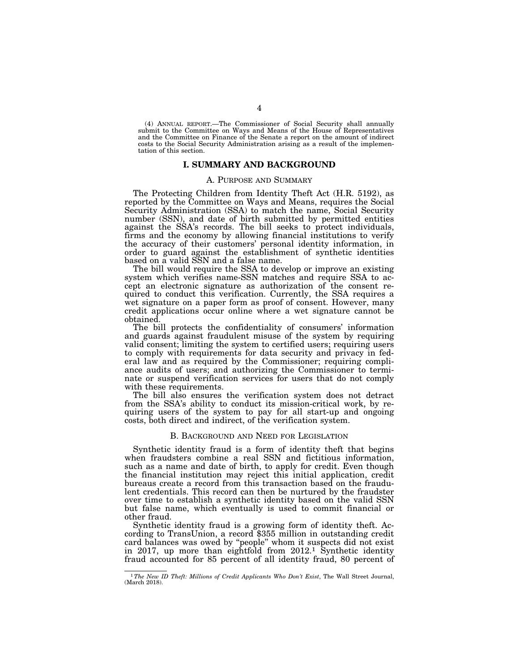(4) ANNUAL REPORT.—The Commissioner of Social Security shall annually submit to the Committee on Ways and Means of the House of Representatives and the Committee on Finance of the Senate a report on the amount of indirect costs to the Social Security Administration arising as a result of the implementation of this section.

### **I. SUMMARY AND BACKGROUND**

#### A. PURPOSE AND SUMMARY

The Protecting Children from Identity Theft Act (H.R. 5192), as reported by the Committee on Ways and Means, requires the Social Security Administration (SSA) to match the name, Social Security number (SSN), and date of birth submitted by permitted entities against the SSA's records. The bill seeks to protect individuals, firms and the economy by allowing financial institutions to verify the accuracy of their customers' personal identity information, in order to guard against the establishment of synthetic identities based on a valid SSN and a false name.

The bill would require the SSA to develop or improve an existing system which verifies name-SSN matches and require SSA to accept an electronic signature as authorization of the consent required to conduct this verification. Currently, the SSA requires a wet signature on a paper form as proof of consent. However, many credit applications occur online where a wet signature cannot be obtained.

The bill protects the confidentiality of consumers' information and guards against fraudulent misuse of the system by requiring valid consent; limiting the system to certified users; requiring users to comply with requirements for data security and privacy in federal law and as required by the Commissioner; requiring compliance audits of users; and authorizing the Commissioner to terminate or suspend verification services for users that do not comply with these requirements.

The bill also ensures the verification system does not detract from the SSA's ability to conduct its mission-critical work, by requiring users of the system to pay for all start-up and ongoing costs, both direct and indirect, of the verification system.

#### B. BACKGROUND AND NEED FOR LEGISLATION

Synthetic identity fraud is a form of identity theft that begins when fraudsters combine a real SSN and fictitious information, such as a name and date of birth, to apply for credit. Even though the financial institution may reject this initial application, credit bureaus create a record from this transaction based on the fraudulent credentials. This record can then be nurtured by the fraudster over time to establish a synthetic identity based on the valid SSN but false name, which eventually is used to commit financial or other fraud.

Synthetic identity fraud is a growing form of identity theft. According to TransUnion, a record \$355 million in outstanding credit card balances was owed by ''people'' whom it suspects did not exist in 2017, up more than eightfold from 2012.1 Synthetic identity fraud accounted for 85 percent of all identity fraud, 80 percent of

<sup>1</sup>*The New ID Theft: Millions of Credit Applicants Who Don't Exist*, The Wall Street Journal, (March 2018).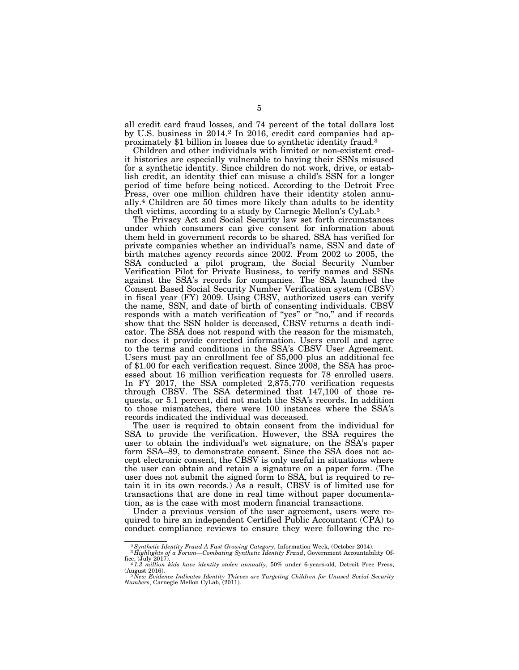all credit card fraud losses, and 74 percent of the total dollars lost by U.S. business in 2014.2 In 2016, credit card companies had approximately \$1 billion in losses due to synthetic identity fraud.3

Children and other individuals with limited or non-existent credit histories are especially vulnerable to having their SSNs misused for a synthetic identity. Since children do not work, drive, or establish credit, an identity thief can misuse a child's SSN for a longer period of time before being noticed. According to the Detroit Free Press, over one million children have their identity stolen annually.4 Children are 50 times more likely than adults to be identity theft victims, according to a study by Carnegie Mellon's CyLab.5

The Privacy Act and Social Security law set forth circumstances under which consumers can give consent for information about them held in government records to be shared. SSA has verified for private companies whether an individual's name, SSN and date of birth matches agency records since 2002. From 2002 to 2005, the SSA conducted a pilot program, the Social Security Number Verification Pilot for Private Business, to verify names and SSNs against the SSA's records for companies. The SSA launched the Consent Based Social Security Number Verification system (CBSV) in fiscal year (FY) 2009. Using CBSV, authorized users can verify the name, SSN, and date of birth of consenting individuals. CBSV responds with a match verification of "yes" or "no," and if records show that the SSN holder is deceased, CBSV returns a death indicator. The SSA does not respond with the reason for the mismatch, nor does it provide corrected information. Users enroll and agree to the terms and conditions in the SSA's CBSV User Agreement. Users must pay an enrollment fee of \$5,000 plus an additional fee of \$1.00 for each verification request. Since 2008, the SSA has processed about 16 million verification requests for 78 enrolled users. In FY 2017, the SSA completed 2,875,770 verification requests through CBSV. The SSA determined that 147,100 of those requests, or 5.1 percent, did not match the SSA's records. In addition to those mismatches, there were 100 instances where the SSA's records indicated the individual was deceased.

The user is required to obtain consent from the individual for SSA to provide the verification. However, the SSA requires the user to obtain the individual's wet signature, on the SSA's paper form SSA–89, to demonstrate consent. Since the SSA does not accept electronic consent, the CBSV is only useful in situations where the user can obtain and retain a signature on a paper form. (The user does not submit the signed form to SSA, but is required to retain it in its own records.) As a result, CBSV is of limited use for transactions that are done in real time without paper documentation, as is the case with most modern financial transactions.

Under a previous version of the user agreement, users were required to hire an independent Certified Public Accountant (CPA) to conduct compliance reviews to ensure they were following the re-

<sup>2</sup>*Synthetic Identity Fraud A Fast Growing Category*, Information Week, (October 2014). 3 *Highlights of a Forum—Combating Synthetic Identity Fraud*, Government Accountability Of-

fice, (July 2017). 4 *1.3 million kids have identity stolen annually*, 50% under 6-years-old, Detroit Free Press,

<sup>(</sup>August 2016).<br><sup>5 S</sup>New Evidence Indicates Identity Thieves are Targeting Children for Unused Social Security<br><sup>Numbers, Carnegie Mellon CyLab, (2011).</sup>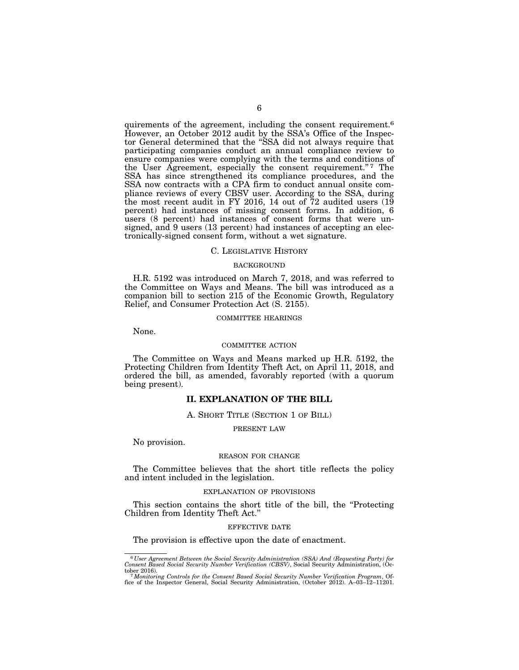quirements of the agreement, including the consent requirement.6 However, an October 2012 audit by the SSA's Office of the Inspector General determined that the ''SSA did not always require that participating companies conduct an annual compliance review to ensure companies were complying with the terms and conditions of the User Agreement, especially the consent requirement."7 The SSA has since strengthened its compliance procedures, and the SSA now contracts with a CPA firm to conduct annual onsite compliance reviews of every CBSV user. According to the SSA, during the most recent audit in FY 2016, 14 out of  $72$  audited users  $(19)$ percent) had instances of missing consent forms. In addition, 6 users (8 percent) had instances of consent forms that were unsigned, and 9 users (13 percent) had instances of accepting an electronically-signed consent form, without a wet signature.

#### C. LEGISLATIVE HISTORY

#### BACKGROUND

H.R. 5192 was introduced on March 7, 2018, and was referred to the Committee on Ways and Means. The bill was introduced as a companion bill to section 215 of the Economic Growth, Regulatory Relief, and Consumer Protection Act (S. 2155).

#### COMMITTEE HEARINGS

None.

#### COMMITTEE ACTION

The Committee on Ways and Means marked up H.R. 5192, the Protecting Children from Identity Theft Act, on April 11, 2018, and ordered the bill, as amended, favorably reported (with a quorum being present).

### **II. EXPLANATION OF THE BILL**

#### A. SHORT TITLE (SECTION 1 OF BILL)

#### PRESENT LAW

No provision.

### REASON FOR CHANGE

The Committee believes that the short title reflects the policy and intent included in the legislation.

#### EXPLANATION OF PROVISIONS

This section contains the short title of the bill, the ''Protecting Children from Identity Theft Act.''

#### EFFECTIVE DATE

The provision is effective upon the date of enactment.

<sup>6</sup> *User Agreement Between the Social Security Administration (SSA) And (Requesting Party) for Consent Based Social Security Number Verification (CBSV)*, Social Security Administration, (Oc-

tober 2016). 7*Monitoring Controls for the Consent Based Social Security Number Verification Program*, Of-fice of the Inspector General, Social Security Administration, (October 2012). A–03–12–11201.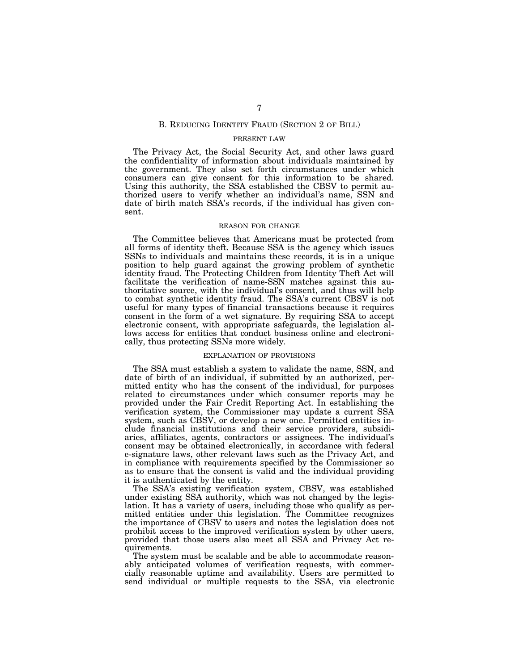#### B. REDUCING IDENTITY FRAUD (SECTION 2 OF BILL)

### PRESENT LAW

The Privacy Act, the Social Security Act, and other laws guard the confidentiality of information about individuals maintained by the government. They also set forth circumstances under which consumers can give consent for this information to be shared. Using this authority, the SSA established the CBSV to permit authorized users to verify whether an individual's name, SSN and date of birth match SSA's records, if the individual has given consent.

### REASON FOR CHANGE

The Committee believes that Americans must be protected from all forms of identity theft. Because SSA is the agency which issues SSNs to individuals and maintains these records, it is in a unique position to help guard against the growing problem of synthetic identity fraud. The Protecting Children from Identity Theft Act will facilitate the verification of name-SSN matches against this authoritative source, with the individual's consent, and thus will help to combat synthetic identity fraud. The SSA's current CBSV is not useful for many types of financial transactions because it requires consent in the form of a wet signature. By requiring SSA to accept electronic consent, with appropriate safeguards, the legislation allows access for entities that conduct business online and electronically, thus protecting SSNs more widely.

### EXPLANATION OF PROVISIONS

The SSA must establish a system to validate the name, SSN, and date of birth of an individual, if submitted by an authorized, permitted entity who has the consent of the individual, for purposes related to circumstances under which consumer reports may be provided under the Fair Credit Reporting Act. In establishing the verification system, the Commissioner may update a current SSA system, such as CBSV, or develop a new one. Permitted entities include financial institutions and their service providers, subsidiaries, affiliates, agents, contractors or assignees. The individual's consent may be obtained electronically, in accordance with federal e-signature laws, other relevant laws such as the Privacy Act, and in compliance with requirements specified by the Commissioner so as to ensure that the consent is valid and the individual providing it is authenticated by the entity.

The SSA's existing verification system, CBSV, was established under existing SSA authority, which was not changed by the legislation. It has a variety of users, including those who qualify as permitted entities under this legislation. The Committee recognizes the importance of CBSV to users and notes the legislation does not prohibit access to the improved verification system by other users, provided that those users also meet all SSA and Privacy Act requirements.

The system must be scalable and be able to accommodate reasonably anticipated volumes of verification requests, with commercially reasonable uptime and availability. Users are permitted to send individual or multiple requests to the SSA, via electronic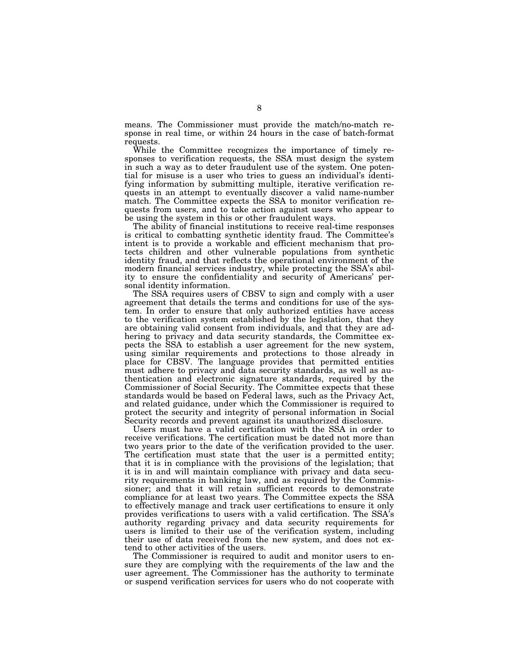means. The Commissioner must provide the match/no-match response in real time, or within 24 hours in the case of batch-format requests.

While the Committee recognizes the importance of timely responses to verification requests, the SSA must design the system in such a way as to deter fraudulent use of the system. One potential for misuse is a user who tries to guess an individual's identifying information by submitting multiple, iterative verification requests in an attempt to eventually discover a valid name-number match. The Committee expects the SSA to monitor verification requests from users, and to take action against users who appear to be using the system in this or other fraudulent ways.

The ability of financial institutions to receive real-time responses is critical to combatting synthetic identity fraud. The Committee's intent is to provide a workable and efficient mechanism that protects children and other vulnerable populations from synthetic identity fraud, and that reflects the operational environment of the modern financial services industry, while protecting the SSA's ability to ensure the confidentiality and security of Americans' personal identity information.

The SSA requires users of CBSV to sign and comply with a user agreement that details the terms and conditions for use of the system. In order to ensure that only authorized entities have access to the verification system established by the legislation, that they are obtaining valid consent from individuals, and that they are adhering to privacy and data security standards, the Committee expects the SSA to establish a user agreement for the new system, using similar requirements and protections to those already in place for CBSV. The language provides that permitted entities must adhere to privacy and data security standards, as well as authentication and electronic signature standards, required by the Commissioner of Social Security. The Committee expects that these standards would be based on Federal laws, such as the Privacy Act, and related guidance, under which the Commissioner is required to protect the security and integrity of personal information in Social Security records and prevent against its unauthorized disclosure.

Users must have a valid certification with the SSA in order to receive verifications. The certification must be dated not more than two years prior to the date of the verification provided to the user. The certification must state that the user is a permitted entity; that it is in compliance with the provisions of the legislation; that it is in and will maintain compliance with privacy and data security requirements in banking law, and as required by the Commissioner; and that it will retain sufficient records to demonstrate compliance for at least two years. The Committee expects the SSA to effectively manage and track user certifications to ensure it only provides verifications to users with a valid certification. The SSA's authority regarding privacy and data security requirements for users is limited to their use of the verification system, including their use of data received from the new system, and does not extend to other activities of the users.

The Commissioner is required to audit and monitor users to ensure they are complying with the requirements of the law and the user agreement. The Commissioner has the authority to terminate or suspend verification services for users who do not cooperate with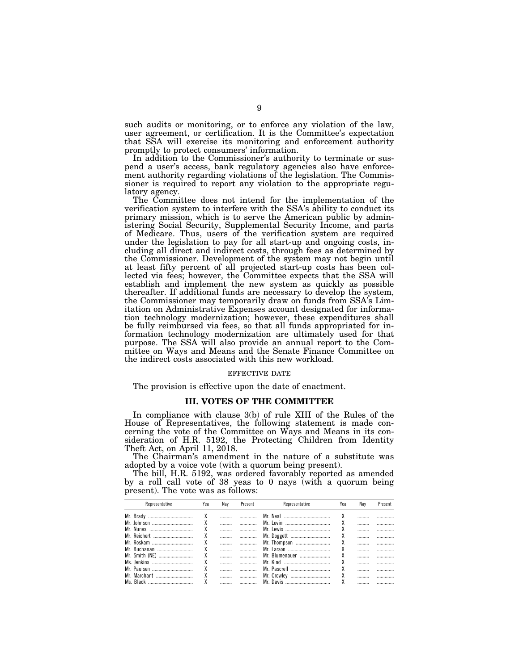such audits or monitoring, or to enforce any violation of the law, user agreement, or certification. It is the Committee's expectation that SSA will exercise its monitoring and enforcement authority promptly to protect consumers' information.

In addition to the Commissioner's authority to terminate or suspend a user's access, bank regulatory agencies also have enforcement authority regarding violations of the legislation. The Commissioner is required to report any violation to the appropriate regulatory agency.

The Committee does not intend for the implementation of the verification system to interfere with the SSA's ability to conduct its primary mission, which is to serve the American public by administering Social Security, Supplemental Security Income, and parts of Medicare. Thus, users of the verification system are required under the legislation to pay for all start-up and ongoing costs, including all direct and indirect costs, through fees as determined by the Commissioner. Development of the system may not begin until at least fifty percent of all projected start-up costs has been collected via fees; however, the Committee expects that the SSA will establish and implement the new system as quickly as possible thereafter. If additional funds are necessary to develop the system, the Commissioner may temporarily draw on funds from SSA's Limitation on Administrative Expenses account designated for information technology modernization; however, these expenditures shall be fully reimbursed via fees, so that all funds appropriated for information technology modernization are ultimately used for that purpose. The SSA will also provide an annual report to the Committee on Ways and Means and the Senate Finance Committee on the indirect costs associated with this new workload.

### EFFECTIVE DATE

The provision is effective upon the date of enactment.

# **III. VOTES OF THE COMMITTEE**

In compliance with clause 3(b) of rule XIII of the Rules of the House of Representatives, the following statement is made concerning the vote of the Committee on Ways and Means in its consideration of H.R. 5192, the Protecting Children from Identity Theft Act, on April 11, 2018.

The Chairman's amendment in the nature of a substitute was adopted by a voice vote (with a quorum being present).

The bill, H.R. 5192, was ordered favorably reported as amended by a roll call vote of 38 yeas to 0 nays (with a quorum being present). The vote was as follows:

| Representative | Yea | Nav | Present | Representative  | Yea | Nav                                       | Present |
|----------------|-----|-----|---------|-----------------|-----|-------------------------------------------|---------|
|                |     |     |         |                 |     |                                           |         |
|                |     |     |         |                 |     |                                           |         |
|                |     |     |         |                 |     |                                           |         |
|                |     |     |         | Mr. Doggett   X |     | $\sim$ $\sim$ $\sim$ $\sim$ $\sim$ $\sim$ |         |
|                |     |     |         |                 |     |                                           |         |
|                |     |     |         | Mr. Larson      |     |                                           |         |
|                |     |     |         | Mr. Blumenauer  |     |                                           |         |
|                |     |     |         | Mr. Kind        |     |                                           |         |
|                |     |     |         |                 |     |                                           |         |
|                |     |     |         |                 |     |                                           |         |
|                |     |     |         |                 |     |                                           |         |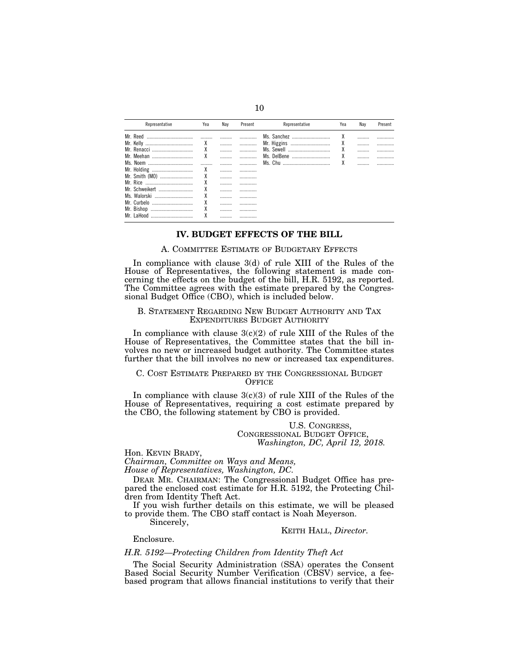| Representative | Yea    | Nav | Present | Representative  | Yea | Nav | Present |
|----------------|--------|-----|---------|-----------------|-----|-----|---------|
| Mr. Reed       |        |     |         | Ms. Sanchez     | χ   |     |         |
| Mr. Kelly<br>  | χ      |     |         | Mr. Higgins     | χ   |     |         |
|                | χ      |     |         | Ms. Sewell      | χ   |     |         |
| Mr. Meehan<br> | χ      |     |         | Ms. DelBene<br> | χ   |     |         |
| Ms. Noem       |        |     |         |                 | χ   |     |         |
| Mr. Holding    | χ      |     |         |                 |     |     |         |
| Mr. Smith (MO) | χ      |     |         |                 |     |     |         |
|                | χ      |     |         |                 |     |     |         |
| Mr. Schweikert | χ      |     |         |                 |     |     |         |
| Ms. Walorski   | χ      |     |         |                 |     |     |         |
|                | χ      |     |         |                 |     |     |         |
| Mr. Bishop<br> | χ      |     |         |                 |     |     |         |
| Mr<br>l aHoor  | v<br>Λ |     |         |                 |     |     |         |

### **IV. BUDGET EFFECTS OF THE BILL**

## A. COMMITTEE ESTIMATE OF BUDGETARY EFFECTS

In compliance with clause 3(d) of rule XIII of the Rules of the House of Representatives, the following statement is made concerning the effects on the budget of the bill, H.R. 5192, as reported. The Committee agrees with the estimate prepared by the Congressional Budget Office (CBO), which is included below.

### B. STATEMENT REGARDING NEW BUDGET AUTHORITY AND TAX EXPENDITURES BUDGET AUTHORITY

In compliance with clause  $3(c)(2)$  of rule XIII of the Rules of the House of Representatives, the Committee states that the bill involves no new or increased budget authority. The Committee states further that the bill involves no new or increased tax expenditures.

### C. COST ESTIMATE PREPARED BY THE CONGRESSIONAL BUDGET **OFFICE**

In compliance with clause  $3(c)(3)$  of rule XIII of the Rules of the House of Representatives, requiring a cost estimate prepared by the CBO, the following statement by CBO is provided.

> U.S. CONGRESS, CONGRESSIONAL BUDGET OFFICE, *Washington, DC, April 12, 2018.*

Hon. KEVIN BRADY,

*Chairman, Committee on Ways and Means,* 

*House of Representatives, Washington, DC.* 

DEAR MR. CHAIRMAN: The Congressional Budget Office has prepared the enclosed cost estimate for H.R. 5192, the Protecting Children from Identity Theft Act.

If you wish further details on this estimate, we will be pleased to provide them. The CBO staff contact is Noah Meyerson.

Sincerely,

KEITH HALL, *Director.* 

Enclosure.

### *H.R. 5192—Protecting Children from Identity Theft Act*

The Social Security Administration (SSA) operates the Consent Based Social Security Number Verification (CBSV) service, a feebased program that allows financial institutions to verify that their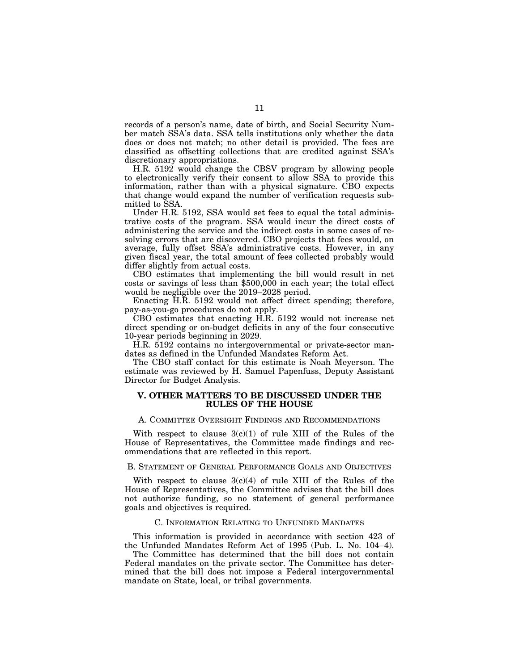records of a person's name, date of birth, and Social Security Number match SSA's data. SSA tells institutions only whether the data does or does not match; no other detail is provided. The fees are classified as offsetting collections that are credited against SSA's discretionary appropriations.

H.R. 5192 would change the CBSV program by allowing people to electronically verify their consent to allow SSA to provide this information, rather than with a physical signature. CBO expects that change would expand the number of verification requests submitted to SSA.

Under H.R. 5192, SSA would set fees to equal the total administrative costs of the program. SSA would incur the direct costs of administering the service and the indirect costs in some cases of resolving errors that are discovered. CBO projects that fees would, on average, fully offset SSA's administrative costs. However, in any given fiscal year, the total amount of fees collected probably would differ slightly from actual costs.

CBO estimates that implementing the bill would result in net costs or savings of less than \$500,000 in each year; the total effect would be negligible over the 2019–2028 period.

Enacting H.R. 5192 would not affect direct spending; therefore, pay-as-you-go procedures do not apply.

CBO estimates that enacting H.R. 5192 would not increase net direct spending or on-budget deficits in any of the four consecutive 10-year periods beginning in 2029.

H.R. 5192 contains no intergovernmental or private-sector mandates as defined in the Unfunded Mandates Reform Act.

The CBO staff contact for this estimate is Noah Meyerson. The estimate was reviewed by H. Samuel Papenfuss, Deputy Assistant Director for Budget Analysis.

# **V. OTHER MATTERS TO BE DISCUSSED UNDER THE RULES OF THE HOUSE**

### A. COMMITTEE OVERSIGHT FINDINGS AND RECOMMENDATIONS

With respect to clause  $3(c)(1)$  of rule XIII of the Rules of the House of Representatives, the Committee made findings and recommendations that are reflected in this report.

### B. STATEMENT OF GENERAL PERFORMANCE GOALS AND OBJECTIVES

With respect to clause  $3(c)(4)$  of rule XIII of the Rules of the House of Representatives, the Committee advises that the bill does not authorize funding, so no statement of general performance goals and objectives is required.

#### C. INFORMATION RELATING TO UNFUNDED MANDATES

This information is provided in accordance with section 423 of the Unfunded Mandates Reform Act of 1995 (Pub. L. No. 104–4).

The Committee has determined that the bill does not contain Federal mandates on the private sector. The Committee has determined that the bill does not impose a Federal intergovernmental mandate on State, local, or tribal governments.